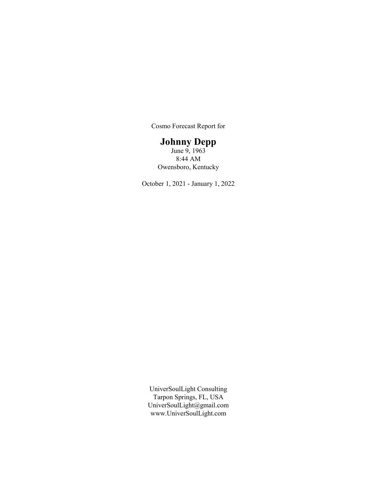Cosmo Forecast Report for

# Johnny Depp

June 9, 1963 8:44 AM Owensboro, Kentucky

October 1, 2021 - January 1, 2022

UniverSoulLight Consulting Tarpon Springs, FL, USA UniverSoulLight@gmail.com www.UniverSoulLight.com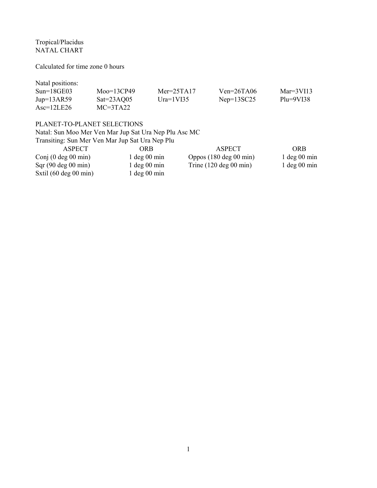Tropical/Placidus NATAL CHART

Calculated for time zone 0 hours

Natal positions:

| $Sun=18GE03$        | $Moo=13CP49$ | $Mer = 25TA17$ | $Ven = 26TA06$ | Mar= $3V113$ |
|---------------------|--------------|----------------|----------------|--------------|
| $Jup=13AR59$        | $Sat=23AQ05$ | Ura= $1V135$   | $Nep=13SC25$   | $Plu=9VI38$  |
| $\text{Asc=12LE26}$ | $MC=3TA22$   |                |                |              |

# PLANET-TO-PLANET SELECTIONS

Natal: Sun Moo Mer Ven Mar Jup Sat Ura Nep Plu Asc MC

| Transiting: Sun Mer Ven Mar Jup Sat Ura Nep Plu |                  |                            |                  |
|-------------------------------------------------|------------------|----------------------------|------------------|
| ASPECT                                          | ORB              | ASPECT                     | ORB              |
| Conj $(0 \deg 00 \min)$                         | $1 \deg 00 \min$ | Oppos $(180 \deg 00 \min)$ | $1 \deg 00 \min$ |
| Sqr(90 deg 00 min)                              | $1 \deg 00 \min$ | Trine $(120 \deg 00 \min)$ | $1 \deg 00 \min$ |
| Sxtil $(60 \deg 00 \min)$                       | $1 \deg 00 \min$ |                            |                  |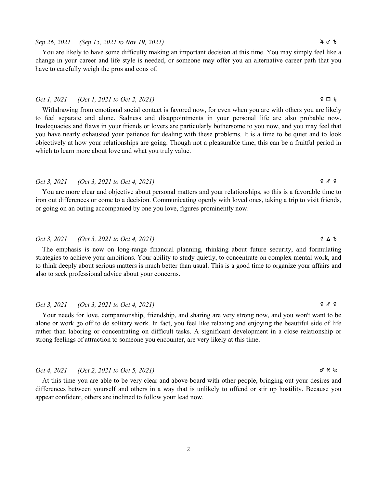Sep 26, 2021 (Sep 15, 2021 to Nov 19, 2021)  $4 \sigma h$ 

You are likely to have some difficulty making an important decision at this time. You may simply feel like a change in your career and life style is needed, or someone may offer you an alternative career path that you have to carefully weigh the pros and cons of.

## Oct 1, 2021 (Oct 1, 2021 to Oct 2, 2021)  $\mathsf{P} \Box \mathsf{h}$

Withdrawing from emotional social contact is favored now, for even when you are with others you are likely to feel separate and alone. Sadness and disappointments in your personal life are also probable now. Inadequacies and flaws in your friends or lovers are particularly bothersome to you now, and you may feel that you have nearly exhausted your patience for dealing with these problems. It is a time to be quiet and to look objectively at how your relationships are going. Though not a pleasurable time, this can be a fruitful period in which to learn more about love and what you truly value.

# Oct 3, 2021 (Oct 3, 2021 to Oct 4, 2021)  $\qquad \qquad$   $\qquad \qquad$   $\qquad \qquad$   $\qquad \qquad$   $\qquad \qquad$   $\qquad \qquad$   $\qquad \qquad$   $\qquad \qquad$   $\qquad \qquad$   $\qquad \qquad$   $\qquad \qquad$   $\qquad \qquad$   $\qquad \qquad$   $\qquad \qquad$   $\qquad \qquad$   $\qquad \qquad$   $\qquad \qquad$   $\qquad \qquad$   $\qquad \qquad$   $\qquad \qquad$

You are more clear and objective about personal matters and your relationships, so this is a favorable time to iron out differences or come to a decision. Communicating openly with loved ones, taking a trip to visit friends, or going on an outing accompanied by one you love, figures prominently now.

### Oct 3, 2021 (Oct 3, 2021 to Oct 4, 2021) d b j

The emphasis is now on long-range financial planning, thinking about future security, and formulating strategies to achieve your ambitions. Your ability to study quietly, to concentrate on complex mental work, and to think deeply about serious matters is much better than usual. This is a good time to organize your affairs and also to seek professional advice about your concerns.

# Oct 3, 2021 (Oct 3, 2021 to Oct 4, 2021)  $\qquad \qquad$   $\qquad \qquad$   $\qquad \qquad$   $\qquad \qquad$   $\qquad \qquad$   $\qquad \qquad$   $\qquad \qquad$   $\qquad \qquad$   $\qquad \qquad$   $\qquad \qquad$   $\qquad \qquad$   $\qquad \qquad$   $\qquad \qquad$   $\qquad \qquad$   $\qquad \qquad$   $\qquad \qquad$   $\qquad \qquad$   $\qquad \qquad$   $\qquad \qquad$   $\qquad \qquad$

Your needs for love, companionship, friendship, and sharing are very strong now, and you won't want to be alone or work go off to do solitary work. In fact, you feel like relaxing and enjoying the beautiful side of life rather than laboring or concentrating on difficult tasks. A significant development in a close relationship or strong feelings of attraction to someone you encounter, are very likely at this time.

# $Oct 4, 2021$  (Oct 2, 2021 to Oct 5, 2021) g  $\star$   $\star$  sc

At this time you are able to be very clear and above-board with other people, bringing out your desires and differences between yourself and others in a way that is unlikely to offend or stir up hostility. Because you appear confident, others are inclined to follow your lead now.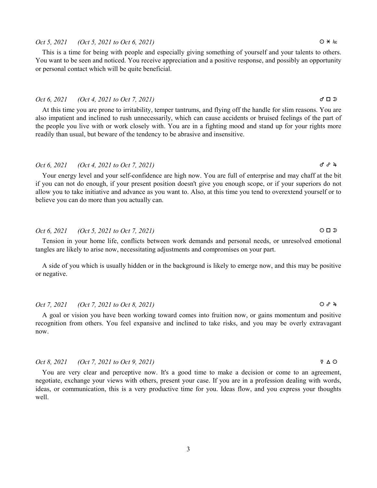### 3

## $Oct 5, 2021$  (Oct 5, 2021 to Oct 6, 2021)  $Q \times kx$

This is a time for being with people and especially giving something of yourself and your talents to others. You want to be seen and noticed. You receive appreciation and a positive response, and possibly an opportunity or personal contact which will be quite beneficial.

## Oct 6, 2021 (Oct 4, 2021 to Oct 7, 2021)  $\sigma \Box$

At this time you are prone to irritability, temper tantrums, and flying off the handle for slim reasons. You are also impatient and inclined to rush unnecessarily, which can cause accidents or bruised feelings of the part of the people you live with or work closely with. You are in a fighting mood and stand up for your rights more readily than usual, but beware of the tendency to be abrasive and insensitive.

# Oct 6, 2021 (Oct 4, 2021 to Oct 7, 2021)  $\sigma^2 \theta^2 + \sigma^3$

Your energy level and your self-confidence are high now. You are full of enterprise and may chaff at the bit if you can not do enough, if your present position doesn't give you enough scope, or if your superiors do not allow you to take initiative and advance as you want to. Also, at this time you tend to overextend yourself or to believe you can do more than you actually can.

### Oct 6, 2021 (Oct 5, 2021 to Oct 7, 2021)  $\Box$

Tension in your home life, conflicts between work demands and personal needs, or unresolved emotional tangles are likely to arise now, necessitating adjustments and compromises on your part.

A side of you which is usually hidden or in the background is likely to emerge now, and this may be positive or negative.

## Oct 7, 2021 (Oct 7, 2021 to Oct 8, 2021) a x h

A goal or vision you have been working toward comes into fruition now, or gains momentum and positive recognition from others. You feel expansive and inclined to take risks, and you may be overly extravagant now.

### Oct 8, 2021 (Oct 7, 2021 to Oct 9, 2021) d b a

You are very clear and perceptive now. It's a good time to make a decision or come to an agreement, negotiate, exchange your views with others, present your case. If you are in a profession dealing with words, ideas, or communication, this is a very productive time for you. Ideas flow, and you express your thoughts well.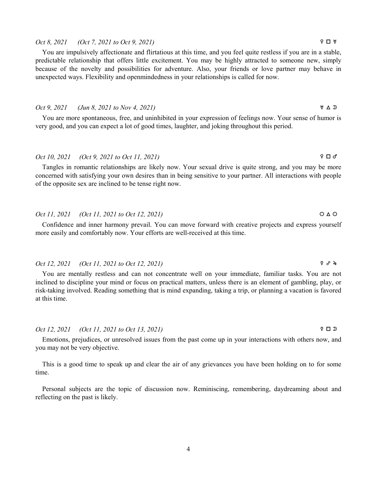# Oct 8, 2021 (Oct 7, 2021 to Oct 9, 2021)  $\Box$   $\Psi$

You are impulsively affectionate and flirtatious at this time, and you feel quite restless if you are in a stable, predictable relationship that offers little excitement. You may be highly attracted to someone new, simply because of the novelty and possibilities for adventure. Also, your friends or love partner may behave in unexpected ways. Flexibility and openmindedness in your relationships is called for now.

### Oct 9, 2021 (Jun 8, 2021 to Nov 4, 2021)  $\forall \Delta \mathfrak{D}$

You are more spontaneous, free, and uninhibited in your expression of feelings now. Your sense of humor is very good, and you can expect a lot of good times, laughter, and joking throughout this period.

# Oct 10, 2021 (Oct 9, 2021 to Oct 11, 2021) f c g

Tangles in romantic relationships are likely now. Your sexual drive is quite strong, and you may be more concerned with satisfying your own desires than in being sensitive to your partner. All interactions with people of the opposite sex are inclined to be tense right now.

# Oct 11, 2021 (Oct 11, 2021 to Oct 12, 2021)  $\bigcirc \Delta \bigcirc$

Confidence and inner harmony prevail. You can move forward with creative projects and express yourself more easily and comfortably now. Your efforts are well-received at this time.

### Oct 12, 2021 (Oct 11, 2021 to Oct 12, 2021) d x h

You are mentally restless and can not concentrate well on your immediate, familiar tasks. You are not inclined to discipline your mind or focus on practical matters, unless there is an element of gambling, play, or risk-taking involved. Reading something that is mind expanding, taking a trip, or planning a vacation is favored at this time.

# Oct 12, 2021 (Oct 11, 2021 to Oct 13, 2021) d c s

Emotions, prejudices, or unresolved issues from the past come up in your interactions with others now, and you may not be very objective.

This is a good time to speak up and clear the air of any grievances you have been holding on to for some time.

Personal subjects are the topic of discussion now. Reminiscing, remembering, daydreaming about and reflecting on the past is likely.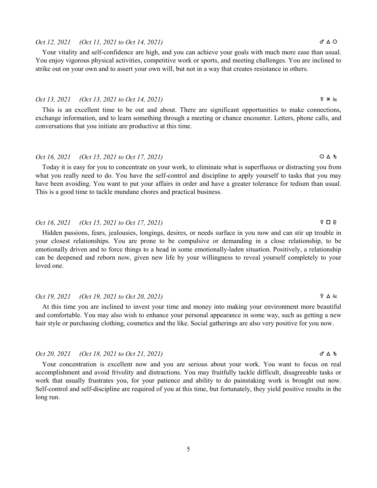# Oct 12, 2021 (Oct 11, 2021 to Oct 14, 2021)  $\sigma^* \Delta \Omega$

Your vitality and self-confidence are high, and you can achieve your goals with much more ease than usual. You enjoy vigorous physical activities, competitive work or sports, and meeting challenges. You are inclined to strike out on your own and to assert your own will, but not in a way that creates resistance in others.

## Oct 13, 2021 (Oct 13, 2021 to Oct 14, 2021) d n S

This is an excellent time to be out and about. There are significant opportunities to make connections, exchange information, and to learn something through a meeting or chance encounter. Letters, phone calls, and conversations that you initiate are productive at this time.

# Oct 16, 2021 (Oct 15, 2021 to Oct 17, 2021)  $\bigcirc \Delta h$

Today it is easy for you to concentrate on your work, to eliminate what is superfluous or distracting you from what you really need to do. You have the self-control and discipline to apply yourself to tasks that you may have been avoiding. You want to put your affairs in order and have a greater tolerance for tedium than usual. This is a good time to tackle mundane chores and practical business.

# Oct 16, 2021 (Oct 15, 2021 to Oct 17, 2021)  $\qquad \qquad$   $\Box$   $\Box$

Hidden passions, fears, jealousies, longings, desires, or needs surface in you now and can stir up trouble in your closest relationships. You are prone to be compulsive or demanding in a close relationship, to be emotionally driven and to force things to a head in some emotionally-laden situation. Positively, a relationship can be deepened and reborn now, given new life by your willingness to reveal yourself completely to your loved one.

### Oct 19, 2021 (Oct 19, 2021 to Oct 20, 2021)  $\mathcal{P} \Delta$  As:

At this time you are inclined to invest your time and money into making your environment more beautiful and comfortable. You may also wish to enhance your personal appearance in some way, such as getting a new hair style or purchasing clothing, cosmetics and the like. Social gatherings are also very positive for you now.

### $Oct 20, 2021$  (Oct 18, 2021 to Oct 21, 2021) g  $\Delta \hbar$

Your concentration is excellent now and you are serious about your work. You want to focus on real accomplishment and avoid frivolity and distractions. You may fruitfully tackle difficult, disagreeable tasks or work that usually frustrates you, for your patience and ability to do painstaking work is brought out now. Self-control and self-discipline are required of you at this time, but fortunately, they yield positive results in the long run.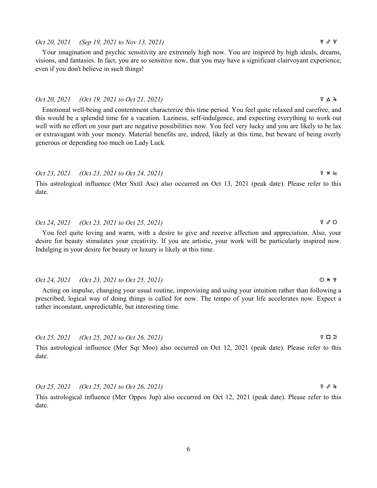# Oct 20, 2021 (Sep 19, 2021 to Nov 13, 2021)  $\forall x \in \mathbb{R}$

Your imagination and psychic sensitivity are extremely high now. You are inspired by high ideals, dreams, visions, and fantasies. In fact, you are so sensitive now, that you may have a significant clairvoyant experience, even if you don't believe in such things!

### Oct 20, 2021 (Oct 19, 2021 to Oct 21, 2021)  $\qquad \qquad$   $\qquad \qquad$   $\qquad \qquad$   $\qquad \qquad$   $\qquad \qquad$   $\qquad \qquad$   $\qquad \qquad$   $\qquad \qquad$   $\qquad \qquad$   $\qquad \qquad$   $\qquad \qquad$   $\qquad \qquad$   $\qquad \qquad$   $\qquad \qquad$   $\qquad \qquad$   $\qquad \qquad$   $\qquad \qquad$   $\qquad \qquad$   $\qquad \qquad$   $\qquad \q$

Emotional well-being and contentment characterize this time period. You feel quite relaxed and carefree, and this would be a splendid time for a vacation. Laziness, self-indulgence, and expecting everything to work out well with no effort on your part are negative possibilities now. You feel very lucky and you are likely to be lax or extravagant with your money. Material benefits are, indeed, likely at this time, but beware of being overly generous or depending too much on Lady Luck.

# Oct 23, 2021 (Oct 23, 2021 to Oct 24, 2021)  $\forall x \neq 0$

This astrological influence (Mer Sxtil Asc) also occurred on Oct 13, 2021 (peak date). Please refer to this date.

# Oct 24, 2021 (Oct 23, 2021 to Oct 25, 2021)  $\qquad \qquad$   $\qquad \qquad$   $\qquad \qquad$   $\qquad \qquad$   $\qquad \qquad$   $\qquad \qquad$   $\qquad \qquad$   $\qquad \qquad$   $\qquad \qquad$   $\qquad \qquad$   $\qquad \qquad$   $\qquad \qquad$   $\qquad \qquad$   $\qquad \qquad$   $\qquad \qquad$   $\qquad \qquad$   $\qquad \qquad$   $\qquad \qquad$   $\qquad \qquad$   $\qquad \q$

You feel quite loving and warm, with a desire to give and receive affection and appreciation. Also, your desire for beauty stimulates your creativity. If you are artistic, your work will be particularly inspired now. Indulging in your desire for beauty or luxury is likely at this time.

### Oct 24, 2021 (Oct 23, 2021 to Oct 25, 2021)  $\bigcirc \star \forall$

Acting on impulse, changing your usual routine, improvising and using your intuition rather than following a prescribed, logical way of doing things is called for now. The tempo of your life accelerates now. Expect a rather inconstant, unpredictable, but interesting time.

Oct 25, 2021 (Oct 25, 2021 to Oct 26, 2021) d c s

This astrological influence (Mer Sqr Moo) also occurred on Oct 12, 2021 (peak date). Please refer to this date.

Oct 25, 2021 (Oct 25, 2021 to Oct 26, 2021)  $\qquad \qquad$   $\qquad \qquad$   $\qquad \qquad$   $\qquad \qquad$   $\qquad \qquad$   $\qquad \qquad$   $\qquad \qquad$   $\qquad \qquad$   $\qquad \qquad$   $\qquad \qquad$   $\qquad \qquad$   $\qquad \qquad$   $\qquad \qquad$   $\qquad \qquad$   $\qquad \qquad$   $\qquad \qquad$   $\qquad \qquad$   $\qquad \qquad$   $\qquad \qquad$   $\qquad \q$ 

This astrological influence (Mer Oppos Jup) also occurred on Oct 12, 2021 (peak date). Please refer to this date.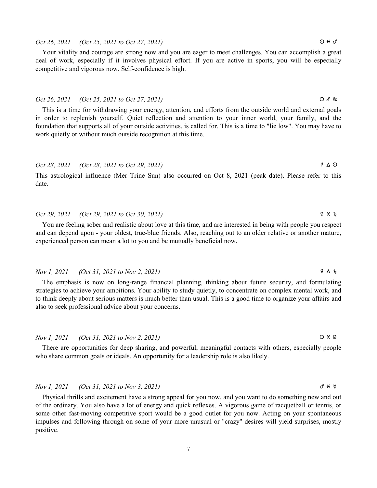### 7

# $Oct 26, 2021$  (Oct 25, 2021 to Oct 27, 2021)  $Q \times \sigma$

Your vitality and courage are strong now and you are eager to meet challenges. You can accomplish a great deal of work, especially if it involves physical effort. If you are active in sports, you will be especially competitive and vigorous now. Self-confidence is high.

### $Oct 26, 2021$  (Oct 25, 2021 to Oct 27, 2021)  $\bigcirc$   $\mathcal{S}$  Mc

This is a time for withdrawing your energy, attention, and efforts from the outside world and external goals in order to replenish yourself. Quiet reflection and attention to your inner world, your family, and the foundation that supports all of your outside activities, is called for. This is a time to "lie low". You may have to work quietly or without much outside recognition at this time.

# Oct 28, 2021 (Oct 28, 2021 to Oct 29, 2021) d b a

This astrological influence (Mer Trine Sun) also occurred on Oct 8, 2021 (peak date). Please refer to this date.

# Oct 29, 2021 (Oct 29, 2021 to Oct 30, 2021)  $9 \times h$

You are feeling sober and realistic about love at this time, and are interested in being with people you respect and can depend upon - your oldest, true-blue friends. Also, reaching out to an older relative or another mature, experienced person can mean a lot to you and be mutually beneficial now.

### Nov 1, 2021 (Oct 31, 2021 to Nov 2, 2021) d b j

The emphasis is now on long-range financial planning, thinking about future security, and formulating strategies to achieve your ambitions. Your ability to study quietly, to concentrate on complex mental work, and to think deeply about serious matters is much better than usual. This is a good time to organize your affairs and also to seek professional advice about your concerns.

## Nov 1, 2021 (Oct 31, 2021 to Nov 2, 2021)  $\bigcirc \ast P$

There are opportunities for deep sharing, and powerful, meaningful contacts with others, especially people who share common goals or ideals. An opportunity for a leadership role is also likely.

# $Nov \, I$ , 2021 (Oct 31, 2021 to Nov 3, 2021) g  $\forall * \forall$

Physical thrills and excitement have a strong appeal for you now, and you want to do something new and out of the ordinary. You also have a lot of energy and quick reflexes. A vigorous game of racquetball or tennis, or some other fast-moving competitive sport would be a good outlet for you now. Acting on your spontaneous impulses and following through on some of your more unusual or "crazy" desires will yield surprises, mostly positive.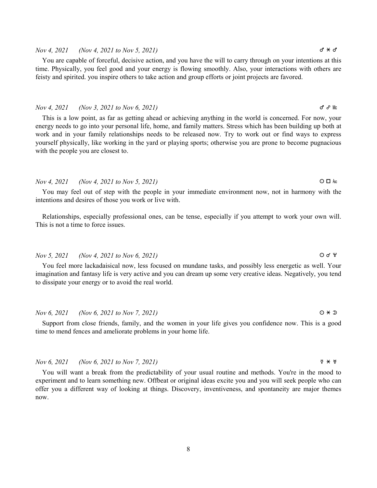# Nov 4, 2021 (Nov 4, 2021 to Nov 5, 2021)  $\sigma^* \star \sigma^*$

You are capable of forceful, decisive action, and you have the will to carry through on your intentions at this time. Physically, you feel good and your energy is flowing smoothly. Also, your interactions with others are feisty and spirited. you inspire others to take action and group efforts or joint projects are favored.

### $Now \, 4, \, 2021$  (Nov 3, 2021 to Nov 6, 2021) g  $\sigma \cdot \mathbb{R}$

This is a low point, as far as getting ahead or achieving anything in the world is concerned. For now, your energy needs to go into your personal life, home, and family matters. Stress which has been building up both at work and in your family relationships needs to be released now. Try to work out or find ways to express yourself physically, like working in the yard or playing sports; otherwise you are prone to become pugnacious with the people you are closest to.

### $Now\ 4, 2021$  (Nov 4, 2021 to Nov 5, 2021)  $O \Box$

You may feel out of step with the people in your immediate environment now, not in harmony with the intentions and desires of those you work or live with.

Relationships, especially professional ones, can be tense, especially if you attempt to work your own will. This is not a time to force issues.

# Nov 5, 2021 (Nov 4, 2021 to Nov 6, 2021)  $\bigcirc$  d'  $\vee$

You feel more lackadaisical now, less focused on mundane tasks, and possibly less energetic as well. Your imagination and fantasy life is very active and you can dream up some very creative ideas. Negatively, you tend to dissipate your energy or to avoid the real world.

### Nov 6, 2021 (Nov 6, 2021 to Nov 7, 2021)  $0 \times 2$

Support from close friends, family, and the women in your life gives you confidence now. This is a good time to mend fences and ameliorate problems in your home life.

### $Nov 6, 2021$  (Nov 6, 2021 to Nov 7, 2021)  $Q \times W$

You will want a break from the predictability of your usual routine and methods. You're in the mood to experiment and to learn something new. Offbeat or original ideas excite you and you will seek people who can offer you a different way of looking at things. Discovery, inventiveness, and spontaneity are major themes now.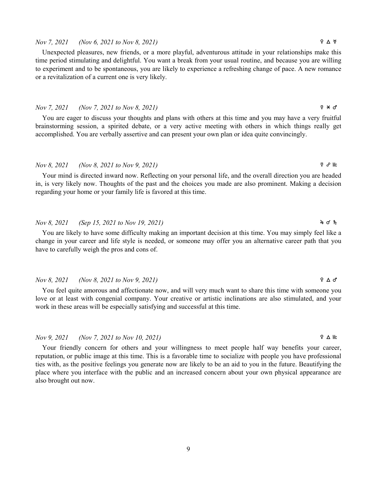## $Nov 7, 2021$  (Nov 6, 2021 to Nov 8, 2021)  $\qquad \qquad$   $\qquad \qquad$   $\qquad \qquad$   $\qquad \qquad$   $\qquad \qquad$   $\qquad \qquad$   $\qquad \qquad$   $\qquad \qquad$   $\qquad \qquad$   $\qquad \qquad$   $\qquad \qquad$   $\qquad \qquad$   $\qquad \qquad$   $\qquad \qquad$   $\qquad \qquad$   $\qquad \qquad$   $\qquad \qquad$   $\qquad \qquad$   $\qquad \qquad$   $\qquad \qquad$

Unexpected pleasures, new friends, or a more playful, adventurous attitude in your relationships make this time period stimulating and delightful. You want a break from your usual routine, and because you are willing to experiment and to be spontaneous, you are likely to experience a refreshing change of pace. A new romance or a revitalization of a current one is very likely.

### Nov 7, 2021 (Nov 7, 2021 to Nov 8, 2021) d n g

You are eager to discuss your thoughts and plans with others at this time and you may have a very fruitful brainstorming session, a spirited debate, or a very active meeting with others in which things really get accomplished. You are verbally assertive and can present your own plan or idea quite convincingly.

## $Nov 8, 2021$  (Nov 8, 2021 to Nov 9, 2021) d  $\frac{1}{2}$   $\frac{1}{2}$   $\frac{1}{2}$   $\frac{1}{2}$   $\frac{1}{2}$   $\frac{1}{2}$   $\frac{1}{2}$   $\frac{1}{2}$   $\frac{1}{2}$   $\frac{1}{2}$   $\frac{1}{2}$   $\frac{1}{2}$   $\frac{1}{2}$   $\frac{1}{2}$   $\frac{1}{2}$   $\frac{1}{2}$   $\frac{1}{2}$   $\frac{1}{2}$

Your mind is directed inward now. Reflecting on your personal life, and the overall direction you are headed in, is very likely now. Thoughts of the past and the choices you made are also prominent. Making a decision regarding your home or your family life is favored at this time.

# Nov 8, 2021 (Sep 15, 2021 to Nov 19, 2021) 4 of the  $\mathcal{A}$

You are likely to have some difficulty making an important decision at this time. You may simply feel like a change in your career and life style is needed, or someone may offer you an alternative career path that you have to carefully weigh the pros and cons of.

### $Nov 8, 2021$  (Nov 8, 2021 to Nov 9, 2021)  $Q \Delta \sigma$

You feel quite amorous and affectionate now, and will very much want to share this time with someone you love or at least with congenial company. Your creative or artistic inclinations are also stimulated, and your work in these areas will be especially satisfying and successful at this time.

## $Nov 9, 2021$  (Nov 7, 2021 to Nov 10, 2021) **9**  $\Delta$  Mc

Your friendly concern for others and your willingness to meet people half way benefits your career, reputation, or public image at this time. This is a favorable time to socialize with people you have professional ties with, as the positive feelings you generate now are likely to be an aid to you in the future. Beautifying the place where you interface with the public and an increased concern about your own physical appearance are also brought out now.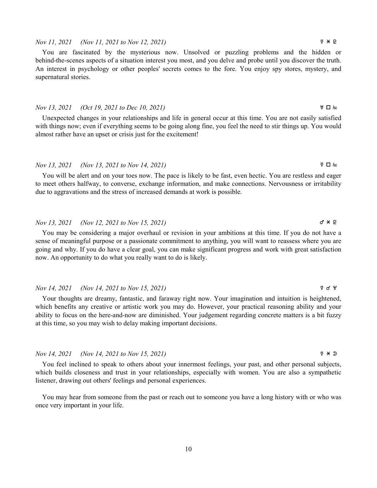### Nov 11, 2021 (Nov 11, 2021 to Nov 12, 2021)  $\forall x \neq 0$

You are fascinated by the mysterious now. Unsolved or puzzling problems and the hidden or behind-the-scenes aspects of a situation interest you most, and you delve and probe until you discover the truth. An interest in psychology or other peoples' secrets comes to the fore. You enjoy spy stores, mystery, and supernatural stories.

### Nov 13, 2021 (Oct 19, 2021 to Dec 10, 2021)  $\forall D$  ks

Unexpected changes in your relationships and life in general occur at this time. You are not easily satisfied with things now; even if everything seems to be going along fine, you feel the need to stir things up. You would almost rather have an upset or crisis just for the excitement!

## Nov 13, 2021 (Nov 13, 2021 to Nov 14, 2021) d c S

You will be alert and on your toes now. The pace is likely to be fast, even hectic. You are restless and eager to meet others halfway, to converse, exchange information, and make connections. Nervousness or irritability due to aggravations and the stress of increased demands at work is possible.

# Nov 13, 2021 (Nov 12, 2021 to Nov 15, 2021)  $\sigma^* \times P$

You may be considering a major overhaul or revision in your ambitions at this time. If you do not have a sense of meaningful purpose or a passionate commitment to anything, you will want to reassess where you are going and why. If you do have a clear goal, you can make significant progress and work with great satisfaction now. An opportunity to do what you really want to do is likely.

### Nov 14, 2021 (Nov 14, 2021 to Nov 15, 2021)  $\qquad \qquad$   $\qquad \qquad$   $\qquad \qquad$   $\qquad \qquad$   $\qquad \qquad$   $\qquad \qquad$   $\qquad \qquad$   $\qquad \qquad$   $\qquad \qquad$   $\qquad \qquad$   $\qquad \qquad$   $\qquad \qquad$   $\qquad \qquad$   $\qquad \qquad$   $\qquad \qquad$   $\qquad \qquad$   $\qquad \qquad$   $\qquad \qquad$   $\qquad \qquad$   $\qquad \q$

Your thoughts are dreamy, fantastic, and faraway right now. Your imagination and intuition is heightened, which benefits any creative or artistic work you may do. However, your practical reasoning ability and your ability to focus on the here-and-now are diminished. Your judgement regarding concrete matters is a bit fuzzy at this time, so you may wish to delay making important decisions.

# Nov 14, 2021 (Nov 14, 2021 to Nov 15, 2021)  $\forall x \neq 0$

You feel inclined to speak to others about your innermost feelings, your past, and other personal subjects, which builds closeness and trust in your relationships, especially with women. You are also a sympathetic listener, drawing out others' feelings and personal experiences.

You may hear from someone from the past or reach out to someone you have a long history with or who was once very important in your life.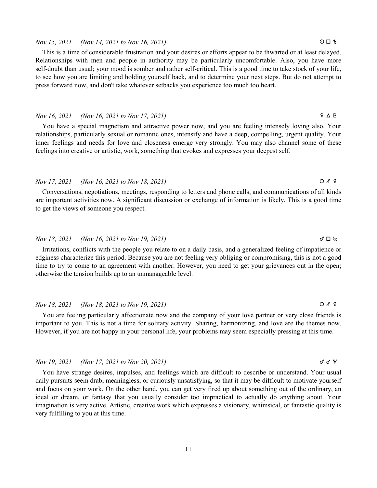### Nov 15, 2021 (Nov 14, 2021 to Nov 16, 2021) a c j

This is a time of considerable frustration and your desires or efforts appear to be thwarted or at least delayed. Relationships with men and people in authority may be particularly uncomfortable. Also, you have more self-doubt than usual; your mood is somber and rather self-critical. This is a good time to take stock of your life, to see how you are limiting and holding yourself back, and to determine your next steps. But do not attempt to press forward now, and don't take whatever setbacks you experience too much too heart.

# Nov 16, 2021 (Nov 16, 2021 to Nov 17, 2021)  $\qquad \qquad$   $\qquad \qquad$   $\qquad \qquad$   $\qquad \qquad$   $\qquad \qquad$   $\qquad \qquad$   $\qquad \qquad$   $\qquad \qquad$   $\qquad \qquad$   $\qquad \qquad$   $\qquad \qquad$   $\qquad \qquad$   $\qquad \qquad$   $\qquad \qquad$   $\qquad \qquad$   $\qquad \qquad$   $\qquad \qquad$   $\qquad \qquad$   $\qquad \qquad$   $\qquad \q$

You have a special magnetism and attractive power now, and you are feeling intensely loving also. Your relationships, particularly sexual or romantic ones, intensify and have a deep, compelling, urgent quality. Your inner feelings and needs for love and closeness emerge very strongly. You may also channel some of these feelings into creative or artistic, work, something that evokes and expresses your deepest self.

# Nov 17, 2021 (Nov 16, 2021 to Nov 18, 2021) a x d

Conversations, negotiations, meetings, responding to letters and phone calls, and communications of all kinds are important activities now. A significant discussion or exchange of information is likely. This is a good time to get the views of someone you respect.

# Nov 18, 2021 (Nov 16, 2021 to Nov 19, 2021)  $\sigma \Box$

Irritations, conflicts with the people you relate to on a daily basis, and a generalized feeling of impatience or edginess characterize this period. Because you are not feeling very obliging or compromising, this is not a good time to try to come to an agreement with another. However, you need to get your grievances out in the open; otherwise the tension builds up to an unmanageable level.

# Nov 18, 2021 (Nov 18, 2021 to Nov 19, 2021) a x f

You are feeling particularly affectionate now and the company of your love partner or very close friends is important to you. This is not a time for solitary activity. Sharing, harmonizing, and love are the themes now. However, if you are not happy in your personal life, your problems may seem especially pressing at this time.

# $Now 19, 2021$  (Nov 17, 2021 to Nov 20, 2021) g d  $\forall$

You have strange desires, impulses, and feelings which are difficult to describe or understand. Your usual daily pursuits seem drab, meaningless, or curiously unsatisfying, so that it may be difficult to motivate yourself and focus on your work. On the other hand, you can get very fired up about something out of the ordinary, an ideal or dream, or fantasy that you usually consider too impractical to actually do anything about. Your imagination is very active. Artistic, creative work which expresses a visionary, whimsical, or fantastic quality is very fulfilling to you at this time.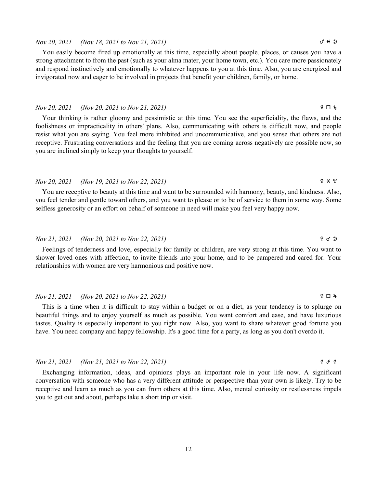### Nov 20, 2021 (Nov 18, 2021 to Nov 21, 2021)  $\sigma \star \infty$

You easily become fired up emotionally at this time, especially about people, places, or causes you have a strong attachment to from the past (such as your alma mater, your home town, etc.). You care more passionately and respond instinctively and emotionally to whatever happens to you at this time. Also, you are energized and invigorated now and eager to be involved in projects that benefit your children, family, or home.

### $Nov 20, 2021$  (Nov 20, 2021 to Nov 21, 2021)  $Q = Nov 20$

Your thinking is rather gloomy and pessimistic at this time. You see the superficiality, the flaws, and the foolishness or impracticality in others' plans. Also, communicating with others is difficult now, and people resist what you are saying. You feel more inhibited and uncommunicative, and you sense that others are not receptive. Frustrating conversations and the feeling that you are coming across negatively are possible now, so you are inclined simply to keep your thoughts to yourself.

# $Nov\ 20, 2021$  (Nov 19, 2021 to Nov 22, 2021)  $9 \times 4$

You are receptive to beauty at this time and want to be surrounded with harmony, beauty, and kindness. Also, you feel tender and gentle toward others, and you want to please or to be of service to them in some way. Some selfless generosity or an effort on behalf of someone in need will make you feel very happy now.

### Nov 21, 2021 (Nov 20, 2021 to Nov 22, 2021)  $\qquad \qquad$   $\qquad \qquad$   $\qquad \qquad$   $\qquad \qquad$   $\qquad \qquad$   $\qquad \qquad$   $\qquad \qquad$   $\qquad \qquad$   $\qquad \qquad$   $\qquad \qquad$   $\qquad \qquad$   $\qquad \qquad$   $\qquad \qquad$   $\qquad \qquad$   $\qquad \qquad$   $\qquad \qquad$   $\qquad \qquad$   $\qquad \qquad$   $\qquad \qquad$   $\qquad \q$

Feelings of tenderness and love, especially for family or children, are very strong at this time. You want to shower loved ones with affection, to invite friends into your home, and to be pampered and cared for. Your relationships with women are very harmonious and positive now.

### $Nov 21, 2021$  (Nov 20, 2021 to Nov 22, 2021)  $\mathcal{L} = \mathcal{L}$   $\mathcal{L} = \mathcal{L}$

This is a time when it is difficult to stay within a budget or on a diet, as your tendency is to splurge on beautiful things and to enjoy yourself as much as possible. You want comfort and ease, and have luxurious tastes. Quality is especially important to you right now. Also, you want to share whatever good fortune you have. You need company and happy fellowship. It's a good time for a party, as long as you don't overdo it.

# Nov 21, 2021 (Nov 21, 2021 to Nov 22, 2021) d x d

Exchanging information, ideas, and opinions plays an important role in your life now. A significant conversation with someone who has a very different attitude or perspective than your own is likely. Try to be receptive and learn as much as you can from others at this time. Also, mental curiosity or restlessness impels you to get out and about, perhaps take a short trip or visit.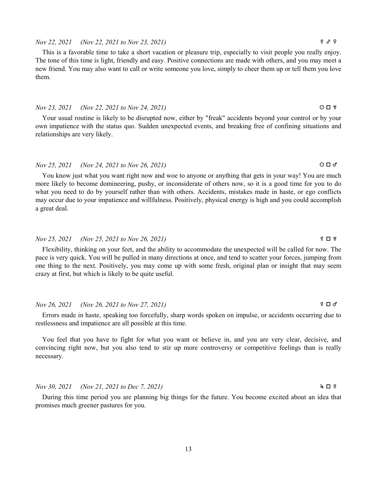# Nov 22, 2021 (Nov 22, 2021 to Nov 23, 2021)  $\qquad \qquad$   $\qquad \qquad$   $\qquad \qquad$   $\qquad \qquad$   $\qquad \qquad$   $\qquad \qquad$   $\qquad \qquad$   $\qquad \qquad$   $\qquad \qquad$   $\qquad \qquad$   $\qquad \qquad$   $\qquad \qquad$   $\qquad \qquad$   $\qquad \qquad$   $\qquad \qquad$   $\qquad \qquad$   $\qquad \qquad$   $\qquad \qquad$   $\qquad \qquad$   $\qquad \q$

This is a favorable time to take a short vacation or pleasure trip, especially to visit people you really enjoy. The tone of this time is light, friendly and easy. Positive connections are made with others, and you may meet a new friend. You may also want to call or write someone you love, simply to cheer them up or tell them you love them.

### Nov 23, 2021 (Nov 22, 2021 to Nov 24, 2021) a c k

Your usual routine is likely to be disrupted now, either by "freak" accidents beyond your control or by your own impatience with the status quo. Sudden unexpected events, and breaking free of confining situations and relationships are very likely.

# Nov 25, 2021 (Nov 24, 2021 to Nov 26, 2021)  $\Box$

You know just what you want right now and woe to anyone or anything that gets in your way! You are much more likely to become domineering, pushy, or inconsiderate of others now, so it is a good time for you to do what you need to do by yourself rather than with others. Accidents, mistakes made in haste, or ego conflicts may occur due to your impatience and willfulness. Positively, physical energy is high and you could accomplish a great deal.

## Nov 25, 2021 (Nov 25, 2021 to Nov 26, 2021) d c k

Flexibility, thinking on your feet, and the ability to accommodate the unexpected will be called for now. The pace is very quick. You will be pulled in many directions at once, and tend to scatter your forces, jumping from one thing to the next. Positively, you may come up with some fresh, original plan or insight that may seem crazy at first, but which is likely to be quite useful.

## $Nov\ 26, 2021$  (Nov 26, 2021 to Nov 27, 2021)  $Q = 2Q + 2Q$

Errors made in haste, speaking too forcefully, sharp words spoken on impulse, or accidents occurring due to restlessness and impatience are all possible at this time.

You feel that you have to fight for what you want or believe in, and you are very clear, decisive, and convincing right now, but you also tend to stir up more controversy or competitive feelings than is really necessary.

 $Nov 30, 2021$  (Nov 21, 2021 to Dec 7, 2021)  $4 \Box 8$ 

During this time period you are planning big things for the future. You become excited about an idea that promises much greener pastures for you.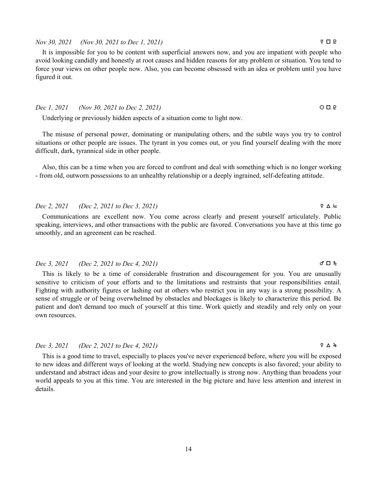# $Dec 2, 2021$  (Dec 2, 2021 to Dec 3, 2021) d  $\& \Delta \approx$

Communications are excellent now. You come across clearly and present yourself articulately. Public speaking, interviews, and other transactions with the public are favored. Conversations you have at this time go smoothly, and an agreement can be reached.

# Dec 3, 2021 (Dec 2, 2021 to Dec 4, 2021) g  $\Box$   $\hbar$

This is likely to be a time of considerable frustration and discouragement for you. You are unusually sensitive to criticism of your efforts and to the limitations and restraints that your responsibilities entail. Fighting with authority figures or lashing out at others who restrict you in any way is a strong possibility. A sense of struggle or of being overwhelmed by obstacles and blockages is likely to characterize this period. Be patient and don't demand too much of yourself at this time. Work quietly and steadily and rely only on your own resources.

# Dec 3, 2021 (Dec 2, 2021 to Dec 4, 2021) d b h

This is a good time to travel, especially to places you've never experienced before, where you will be exposed to new ideas and different ways of looking at the world. Studying new concepts is also favored; your ability to understand and abstract ideas and your desire to grow intellectually is strong now. Anything than broadens your world appeals to you at this time. You are interested in the big picture and have less attention and interest in details.

# Nov 30, 2021 (Nov 30, 2021 to Dec 1, 2021)  $\forall$   $\Box$  P

It is impossible for you to be content with superficial answers now, and you are impatient with people who avoid looking candidly and honestly at root causes and hidden reasons for any problem or situation. You tend to force your views on other people now. Also, you can become obsessed with an idea or problem until you have figured it out.

### $Dec \, 1, \, 2021$  (Nov 30, 2021 to Dec 2, 2021)  $\circ \Box$   $\Box$

Underlying or previously hidden aspects of a situation come to light now.

The misuse of personal power, dominating or manipulating others, and the subtle ways you try to control situations or other people are issues. The tyrant in you comes out, or you find yourself dealing with the more difficult, dark, tyrannical side in other people.

Also, this can be a time when you are forced to confront and deal with something which is no longer working - from old, outworn possessions to an unhealthy relationship or a deeply ingrained, self-defeating attitude.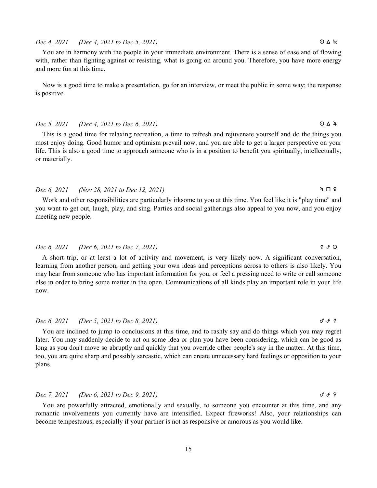## $Dec 4, 2021$  (Dec 4, 2021 to Dec 5, 2021)  $\bigcirc \Delta$  ks

You are in harmony with the people in your immediate environment. There is a sense of ease and of flowing with, rather than fighting against or resisting, what is going on around you. Therefore, you have more energy and more fun at this time.

Now is a good time to make a presentation, go for an interview, or meet the public in some way; the response is positive.

## Dec 5, 2021 (Dec 4, 2021 to Dec 6, 2021)  $\bigcirc \Delta 4$

This is a good time for relaxing recreation, a time to refresh and rejuvenate yourself and do the things you most enjoy doing. Good humor and optimism prevail now, and you are able to get a larger perspective on your life. This is also a good time to approach someone who is in a position to benefit you spiritually, intellectually, or materially.

# $Dec 6, 2021$  (Nov 28, 2021 to Dec 12, 2021)  $4 \Box 9$

Work and other responsibilities are particularly irksome to you at this time. You feel like it is "play time" and you want to get out, laugh, play, and sing. Parties and social gatherings also appeal to you now, and you enjoy meeting new people.

# Dec 6, 2021 (Dec 6, 2021 to Dec 7, 2021)  $\qquad \qquad$   $\qquad \qquad$   $\qquad \qquad$   $\qquad \qquad$   $\qquad \qquad$   $\qquad \qquad$   $\qquad \qquad$   $\qquad \qquad$   $\qquad \qquad$   $\qquad \qquad$

A short trip, or at least a lot of activity and movement, is very likely now. A significant conversation, learning from another person, and getting your own ideas and perceptions across to others is also likely. You may hear from someone who has important information for you, or feel a pressing need to write or call someone else in order to bring some matter in the open. Communications of all kinds play an important role in your life now.

### Dec 6, 2021 (Dec 5, 2021 to Dec 8, 2021) g  $\sigma \rightarrow \infty$

You are inclined to jump to conclusions at this time, and to rashly say and do things which you may regret later. You may suddenly decide to act on some idea or plan you have been considering, which can be good as long as you don't move so abruptly and quickly that you override other people's say in the matter. At this time, too, you are quite sharp and possibly sarcastic, which can create unnecessary hard feelings or opposition to your plans.

# Dec 7, 2021 (Dec 6, 2021 to Dec 9, 2021)  $\sigma \cdot \sigma$  f  $\sigma$  9

You are powerfully attracted, emotionally and sexually, to someone you encounter at this time, and any romantic involvements you currently have are intensified. Expect fireworks! Also, your relationships can become tempestuous, especially if your partner is not as responsive or amorous as you would like.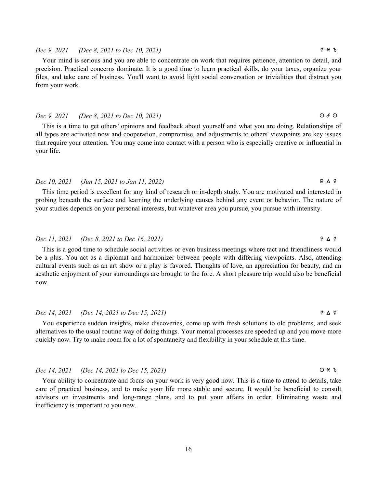# Dec 10, 2021 (Jun 15, 2021 to Jan 11, 2022)  $B \triangle \frac{9}{4}$

your life.

This time period is excellent for any kind of research or in-depth study. You are motivated and interested in probing beneath the surface and learning the underlying causes behind any event or behavior. The nature of your studies depends on your personal interests, but whatever area you pursue, you pursue with intensity.

# Dec 11, 2021 (Dec 8, 2021 to Dec 16, 2021)  $\qquad \qquad$   $\qquad \qquad$   $\qquad \qquad$   $\qquad \qquad$   $\qquad \qquad$   $\qquad \qquad$   $\qquad \qquad$   $\qquad \qquad$   $\qquad \qquad$   $\qquad \qquad$   $\qquad \qquad$   $\qquad \qquad$   $\qquad \qquad$   $\qquad \qquad$   $\qquad \qquad$   $\qquad \qquad$   $\qquad \qquad$   $\qquad \qquad$   $\qquad \qquad$   $\qquad \qquad$

This is a good time to schedule social activities or even business meetings where tact and friendliness would be a plus. You act as a diplomat and harmonizer between people with differing viewpoints. Also, attending cultural events such as an art show or a play is favored. Thoughts of love, an appreciation for beauty, and an aesthetic enjoyment of your surroundings are brought to the fore. A short pleasure trip would also be beneficial now.

# Dec 14, 2021 (Dec 14, 2021 to Dec 15, 2021)  $\forall \Delta \forall$

You experience sudden insights, make discoveries, come up with fresh solutions to old problems, and seek alternatives to the usual routine way of doing things. Your mental processes are speeded up and you move more quickly now. Try to make room for a lot of spontaneity and flexibility in your schedule at this time.

# Dec 14, 2021 (Dec 14, 2021 to Dec 15, 2021)  $\bigcirc \ast h$

Your ability to concentrate and focus on your work is very good now. This is a time to attend to details, take care of practical business, and to make your life more stable and secure. It would be beneficial to consult advisors on investments and long-range plans, and to put your affairs in order. Eliminating waste and inefficiency is important to you now.

# Dec 9, 2021 (Dec 8, 2021 to Dec 10, 2021) d n j

Your mind is serious and you are able to concentrate on work that requires patience, attention to detail, and precision. Practical concerns dominate. It is a good time to learn practical skills, do your taxes, organize your files, and take care of business. You'll want to avoid light social conversation or trivialities that distract you from your work.

 $Dec 9, 2021$  (Dec 8, 2021 to Dec 10, 2021)  $\bigcirc$   $\circ$   $\circ$ 

that require your attention. You may come into contact with a person who is especially creative or influential in

# This is a time to get others' opinions and feedback about yourself and what you are doing. Relationships of all types are activated now and cooperation, compromise, and adjustments to others' viewpoints are key issues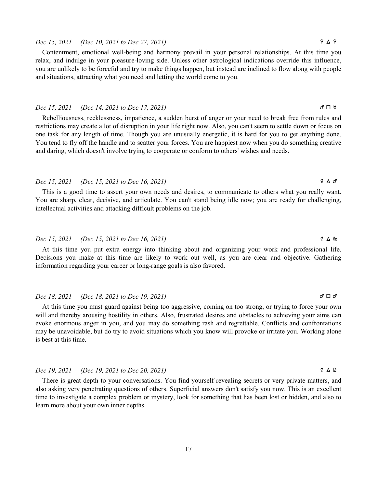# Dec 15, 2021 (Dec 10, 2021 to Dec 27, 2021)  $\qquad \qquad$   $\qquad \qquad$   $\qquad \qquad$   $\qquad \qquad$   $\qquad \qquad$   $\qquad \qquad$   $\qquad \qquad$   $\qquad \qquad$   $\qquad \qquad$   $\qquad \qquad$   $\qquad \qquad$   $\qquad \qquad$   $\qquad \qquad$   $\qquad \qquad$   $\qquad \qquad$   $\qquad \qquad$   $\qquad \qquad$   $\qquad \qquad$   $\qquad \qquad$   $\qquad \q$

Contentment, emotional well-being and harmony prevail in your personal relationships. At this time you relax, and indulge in your pleasure-loving side. Unless other astrological indications override this influence, you are unlikely to be forceful and try to make things happen, but instead are inclined to flow along with people and situations, attracting what you need and letting the world come to you.

### Dec 15, 2021 (Dec 14, 2021 to Dec 17, 2021) g c k

Rebelliousness, recklessness, impatience, a sudden burst of anger or your need to break free from rules and restrictions may create a lot of disruption in your life right now. Also, you can't seem to settle down or focus on one task for any length of time. Though you are unusually energetic, it is hard for you to get anything done. You tend to fly off the handle and to scatter your forces. You are happiest now when you do something creative and daring, which doesn't involve trying to cooperate or conform to others' wishes and needs.

# Dec 15, 2021 (Dec 15, 2021 to Dec 16, 2021) d b g

This is a good time to assert your own needs and desires, to communicate to others what you really want. You are sharp, clear, decisive, and articulate. You can't stand being idle now; you are ready for challenging, intellectual activities and attacking difficult problems on the job.

# Dec 15, 2021 (Dec 15, 2021 to Dec 16, 2021) d b D

At this time you put extra energy into thinking about and organizing your work and professional life. Decisions you make at this time are likely to work out well, as you are clear and objective. Gathering information regarding your career or long-range goals is also favored.

# Dec 18, 2021 (Dec 18, 2021 to Dec 19, 2021)  $\sigma \Box \sigma$

At this time you must guard against being too aggressive, coming on too strong, or trying to force your own will and thereby arousing hostility in others. Also, frustrated desires and obstacles to achieving your aims can evoke enormous anger in you, and you may do something rash and regrettable. Conflicts and confrontations may be unavoidable, but do try to avoid situations which you know will provoke or irritate you. Working alone is best at this time.

# Dec 19, 2021 (Dec 19, 2021 to Dec 20, 2021)  $\forall \Delta \in \mathbb{R}$

There is great depth to your conversations. You find yourself revealing secrets or very private matters, and also asking very penetrating questions of others. Superficial answers don't satisfy you now. This is an excellent time to investigate a complex problem or mystery, look for something that has been lost or hidden, and also to learn more about your own inner depths.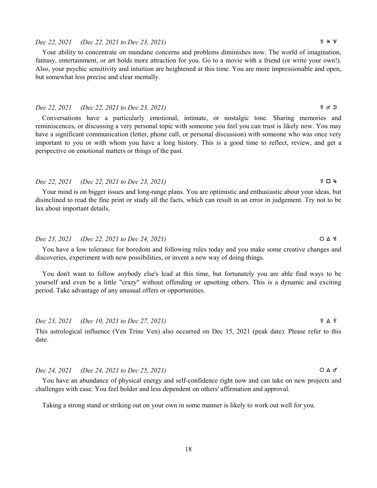### important to you or with whom you have a long history. This is a good time to reflect, review, and get a

# Dec 22, 2021 (Dec 22, 2021 to Dec 23, 2021) d c h

perspective on emotional matters or things of the past.

Your mind is on bigger issues and long-range plans. You are optimistic and enthusiastic about your ideas, but disinclined to read the fine print or study all the facts, which can result in an error in judgement. Try not to be lax about important details.

# Dec 23, 2021 (Dec 22, 2021 to Dec 24, 2021)  $\bigcirc \Delta \forall$

You have a low tolerance for boredom and following rules today and you make some creative changes and discoveries, experiment with new possibilities, or invent a new way of doing things.

You don't want to follow anybody else's lead at this time, but fortunately you are able find ways to be yourself and even be a little "crazy" without offending or upsetting others. This is a dynamic and exciting period. Take advantage of any unusual offers or opportunities.

Dec 23, 2021 (Dec 10, 2021 to Dec 27, 2021)  $\qquad \qquad$   $\qquad \qquad$   $\qquad \qquad$   $\qquad \qquad$   $\qquad \qquad$   $\qquad \qquad$   $\qquad \qquad$   $\qquad \qquad$   $\qquad \qquad$   $\qquad \qquad$   $\qquad \qquad$   $\qquad \qquad$   $\qquad \qquad$   $\qquad \qquad$   $\qquad \qquad$   $\qquad \qquad$   $\qquad \qquad$   $\qquad \qquad$   $\qquad \qquad$   $\qquad \q$ 

This astrological influence (Ven Trine Ven) also occurred on Dec 15, 2021 (peak date). Please refer to this date.

# Dec 24, 2021 (Dec 24, 2021 to Dec 25, 2021)  $\bigcirc \Delta \sigma$

You have an abundance of physical energy and self-confidence right now and can take on new projects and challenges with ease. You feel bolder and less dependent on others' affirmation and approval.

Taking a strong stand or striking out on your own in some manner is likely to work out well for you.

# Dec 22, 2021 (Dec 22, 2021 to Dec 23, 2021)  $\forall x \neq 0$

Your ability to concentrate on mundane concerns and problems diminishes now. The world of imagination, fantasy, entertainment, or art holds more attraction for you. Go to a movie with a friend (or write your own!). Also, your psychic sensitivity and intuition are heightened at this time. You are more impressionable and open, but somewhat less precise and clear mentally.

Dec 22, 2021 (Dec 22, 2021 to Dec 23, 2021) d z s Conversations have a particularly emotional, intimate, or nostalgic tone. Sharing memories and reminiscences, or discussing a very personal topic with someone you feel you can trust is likely now. You may have a significant communication (letter, phone call, or personal discussion) with someone who was once very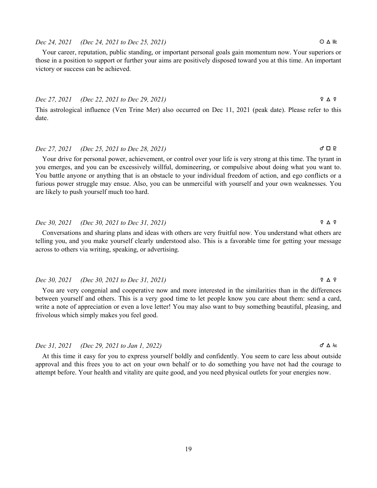# 19

# $Dec\ 24, 2021$  (Dec 24, 2021 to Dec 25, 2021)  $\bigcirc \Delta$  Mc

Your career, reputation, public standing, or important personal goals gain momentum now. Your superiors or those in a position to support or further your aims are positively disposed toward you at this time. An important victory or success can be achieved.

# Dec 27, 2021 (Dec 22, 2021 to Dec 29, 2021)  $\qquad \qquad$   $\qquad \qquad$   $\qquad \qquad$   $\qquad \qquad$   $\qquad \qquad$   $\qquad \qquad$   $\qquad \qquad$   $\qquad \qquad$   $\qquad \qquad$   $\qquad \qquad$   $\qquad \qquad$   $\qquad \qquad$   $\qquad \qquad$   $\qquad \qquad$   $\qquad \qquad$   $\qquad \qquad$   $\qquad \qquad$   $\qquad \qquad$   $\qquad \qquad$   $\qquad \q$

This astrological influence (Ven Trine Mer) also occurred on Dec 11, 2021 (peak date). Please refer to this date.

# $Dec\ 27, 2021$  (Dec 25, 2021 to Dec 28, 2021) g  $\Box$  **e**

Your drive for personal power, achievement, or control over your life is very strong at this time. The tyrant in you emerges, and you can be excessively willful, domineering, or compulsive about doing what you want to. You battle anyone or anything that is an obstacle to your individual freedom of action, and ego conflicts or a furious power struggle may ensue. Also, you can be unmerciful with yourself and your own weaknesses. You are likely to push yourself much too hard.

# Dec 30, 2021 (Dec 30, 2021 to Dec 31, 2021) d b d

Conversations and sharing plans and ideas with others are very fruitful now. You understand what others are telling you, and you make yourself clearly understood also. This is a favorable time for getting your message across to others via writing, speaking, or advertising.

# Dec 30, 2021 (Dec 30, 2021 to Dec 31, 2021)  $\forall \Delta \varnothing$

You are very congenial and cooperative now and more interested in the similarities than in the differences between yourself and others. This is a very good time to let people know you care about them: send a card, write a note of appreciation or even a love letter! You may also want to buy something beautiful, pleasing, and frivolous which simply makes you feel good.

# Dec 31, 2021 (Dec 29, 2021 to Jan 1, 2022)  $\sigma \Delta k$

At this time it easy for you to express yourself boldly and confidently. You seem to care less about outside approval and this frees you to act on your own behalf or to do something you have not had the courage to attempt before. Your health and vitality are quite good, and you need physical outlets for your energies now.